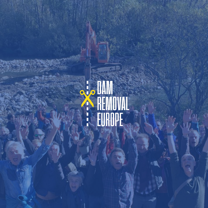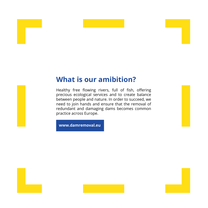## **What is our amibition?**

Healthy free flowing rivers, full of fish, offering precious ecological services and to create balance between people and nature. In order to succeed, we need to join hands and ensure that the removal of redundant and damaging dams becomes common practice across Europe.

**www.damremoval.eu**

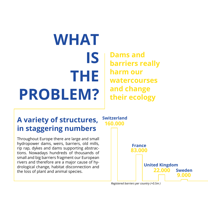# **WHAT IS THE PROBLEM?**

**Dams and barriers really harm our watercourses and change their ecology**

## **A variety of structures, in staggering numbers**

Throughout Europe there are large and small hydropower dams, weirs, barriers, old mills, rip rap, dykes and dams supporting abstractions. Nowadays hundreds of thousands of small and big barriers fragment our European rivers and therefore are a major cause of hydrological change, habitat disconnection and the loss of plant and animal species.



*Registered barriers per country (+0.5m )*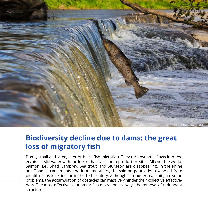

## **Biodiversity decline due to dams: the great loss of migratory fish**

Dams, small and large, alter or block fish migration. They turn dynamic flows into reservoirs of still water with the loss of habitats and reproduction sites. All over the world, Salmon, Eel, Shad, Lamprey, Sea trout, and Sturgeon are disappearing. In the Rhine and Thames catchments and in many others, the salmon population dwindled from plentiful runs to extinction in the 19th century. Although fish ladders can mitigate some problems, the accumulation of obstacles can massively hinder their collective effectiveness. The most effective solution for fish migration is always the removal of redundant structures.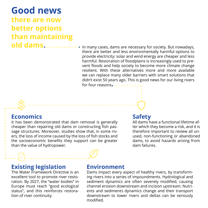**Good news there are now better options than maintaining old dams.**

In many cases, dams are necessary for society. But nowadays, there are better and less environmentally harmful options to provide electricity: solar and wind energy are cheaper and less harmful. Restoration of floodplains is increasingly used to prevent floods and help society to become more climate change resilient. With these alternatives more and more available we can replace many older barriers with smart solutions that didn't exist 50 years ago. This is good news for our living rivers

#### for four reasons**.**

### **Economics**

It has been demonstrated that dam removal is generally cheaper than repairing old dams or constructing fish passage structures. Moreover, studies show that, in some rivers, the loss of income caused by the loss of fish stocks and the socioeconomic benefits they support can be greater than the value of hydropower.

#### **Safety**

All dams have a functional lifetime after which they become a risk, and it is therefore important to review all unused, non-functioning or abandoned dams, to avoid hazards arising from dam failures.

#### **Existing legislation**

The Water Framework Directive is an excellent tool to promote river restoration. By 2027, the "water bodies" in Europe must reach "good ecological status", and this reinforces restoration of river continuity.

#### **Environment**

Dams impact every aspect of healthy rivers, by transforming rivers into a series of impoundments. Hydrological and sediment dynamics are often severely modified, causing channel erosion downstream and incision upstream. Nutrients and sediments dynamics change and their transport downstream to lower rivers and deltas can be seriously modified.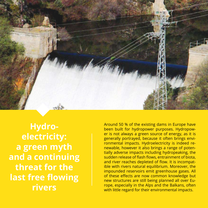

**Hydroelectricity: a green myth and a continuing threat for the last free flowing rivers**

Around 50 % of the existing dams in Europe have been built for hydropower purposes. Hydropower is not always a green source of energy, as it is generally portrayed, because it often brings environmental impacts. Hydroelectricity is indeed renewable, however it also brings a range of potentially adverse impacts including hydropeaking, the sudden release of flash flows, entrainment of biota, and river reaches depleted of flow. It is incompatible with rivers natural equilibrium. Moreover, the impounded reservoirs emit greenhouse gases. All of these effects are now common knowledge but new structures are still being planned all over Europe, especially in the Alps and the Balkans, often with little regard for their environmental impacts.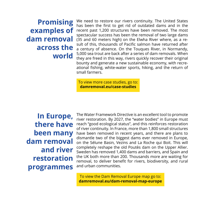**Promising examples of dam removal across the world**

We need to restore our rivers continuity. The United States has been the first to get rid of outdated dams and in the recent past 1,200 structures have been removed. The most spectacular success has been the removal of two large dams (35 and 60 meters high) on the Elwha River where, as a result of this, thousands of Pacific salmon have returned after a century of absence. On the Touques River, in Normandy, 5,000 sea trout are back after a series of dam removals. When they are freed in this way, rivers quickly recover their original bounty and generate a new sustainable economy, with recreational fishing, white-water sports, hiking, and the return of small farmers.

To view more case studies, go to: **damremoval.eu/case-studies**

**In Europe, there have been many dam removal and river restoration programmes**

The Water Framework Directive is an excellent tool to promote river restoration. By 2027, the "water bodies" in Europe must reach "good ecological status", and this reinforces restoration of river continuity. In France, more than 1,800 small structures have been removed in recent years, and there are plans to dismantle two of the biggest dams ever removed in Europe, on the Sélune Basin, Vezins and La Roche qui Boit. This will completely reshape the old Poutès dam on the Upper Allier. Sweden has removed 1,400 dams and barriers, and Spain and the UK both more than 200. Thousands more are waiting for removal, to deliver benefit for rivers, biodiversity, and rural and urban communities.

To view the Dam Removal Europe map go to: **damremoval.eu/dam-removal-map-europe**